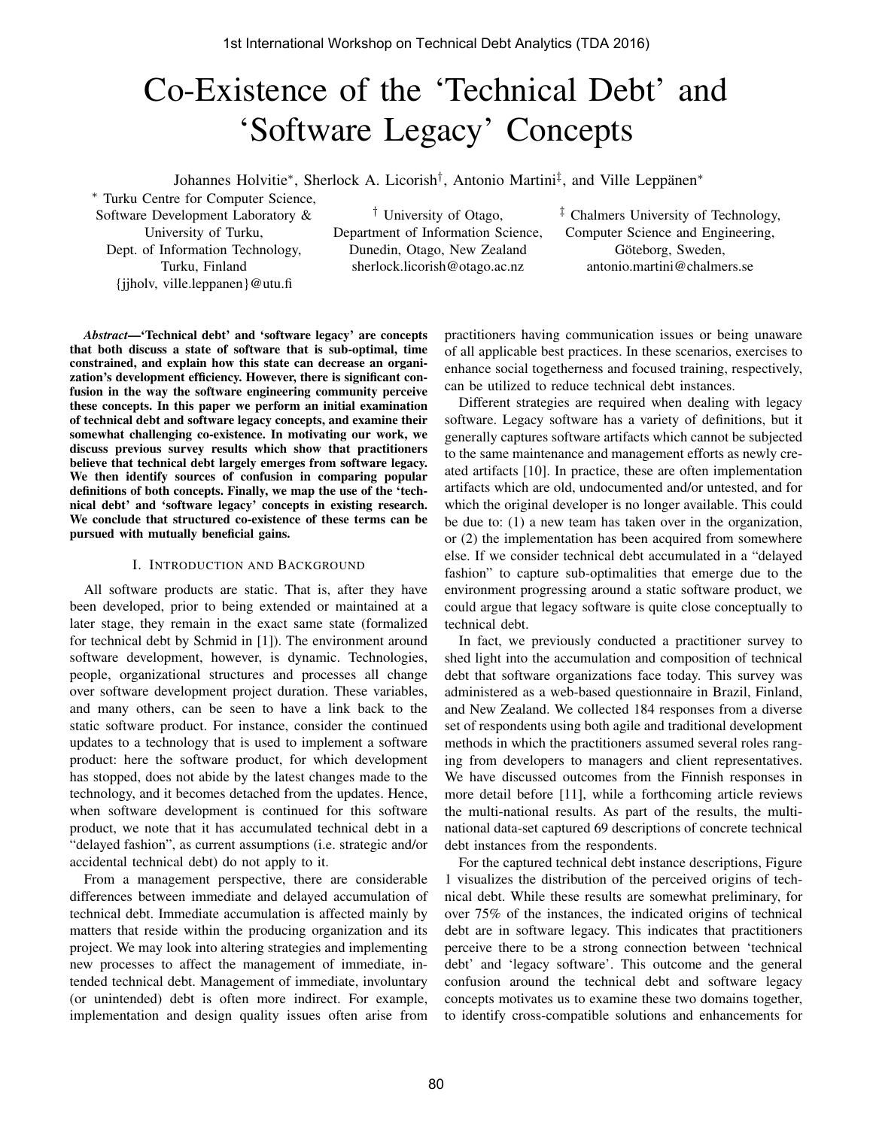# Co-Existence of the 'Technical Debt' and 'Software Legacy' Concepts

Johannes Holvitie<sup>∗</sup> , Sherlock A. Licorish† , Antonio Martini‡ , and Ville Leppänen<sup>∗</sup>

<sup>∗</sup> Turku Centre for Computer Science, Software Development Laboratory & University of Turku, Dept. of Information Technology, Turku, Finland {jjholv, ville.leppanen}@utu.fi

† University of Otago, Department of Information Science, Dunedin, Otago, New Zealand sherlock.licorish@otago.ac.nz

‡ Chalmers University of Technology, Computer Science and Engineering, Göteborg, Sweden, antonio.martini@chalmers.se

*Abstract*—'Technical debt' and 'software legacy' are concepts that both discuss a state of software that is sub-optimal, time constrained, and explain how this state can decrease an organization's development efficiency. However, there is significant confusion in the way the software engineering community perceive these concepts. In this paper we perform an initial examination of technical debt and software legacy concepts, and examine their somewhat challenging co-existence. In motivating our work, we discuss previous survey results which show that practitioners believe that technical debt largely emerges from software legacy. We then identify sources of confusion in comparing popular definitions of both concepts. Finally, we map the use of the 'technical debt' and 'software legacy' concepts in existing research. We conclude that structured co-existence of these terms can be pursued with mutually beneficial gains.

### I. INTRODUCTION AND BACKGROUND

All software products are static. That is, after they have been developed, prior to being extended or maintained at a later stage, they remain in the exact same state (formalized for technical debt by Schmid in [1]). The environment around software development, however, is dynamic. Technologies, people, organizational structures and processes all change over software development project duration. These variables, and many others, can be seen to have a link back to the static software product. For instance, consider the continued updates to a technology that is used to implement a software product: here the software product, for which development has stopped, does not abide by the latest changes made to the technology, and it becomes detached from the updates. Hence, when software development is continued for this software product, we note that it has accumulated technical debt in a "delayed fashion", as current assumptions (i.e. strategic and/or accidental technical debt) do not apply to it.

From a management perspective, there are considerable differences between immediate and delayed accumulation of technical debt. Immediate accumulation is affected mainly by matters that reside within the producing organization and its project. We may look into altering strategies and implementing new processes to affect the management of immediate, intended technical debt. Management of immediate, involuntary (or unintended) debt is often more indirect. For example, implementation and design quality issues often arise from

practitioners having communication issues or being unaware of all applicable best practices. In these scenarios, exercises to enhance social togetherness and focused training, respectively, can be utilized to reduce technical debt instances.

Different strategies are required when dealing with legacy software. Legacy software has a variety of definitions, but it generally captures software artifacts which cannot be subjected to the same maintenance and management efforts as newly created artifacts [10]. In practice, these are often implementation artifacts which are old, undocumented and/or untested, and for which the original developer is no longer available. This could be due to: (1) a new team has taken over in the organization, or (2) the implementation has been acquired from somewhere else. If we consider technical debt accumulated in a "delayed fashion" to capture sub-optimalities that emerge due to the environment progressing around a static software product, we could argue that legacy software is quite close conceptually to technical debt.

In fact, we previously conducted a practitioner survey to shed light into the accumulation and composition of technical debt that software organizations face today. This survey was administered as a web-based questionnaire in Brazil, Finland, and New Zealand. We collected 184 responses from a diverse set of respondents using both agile and traditional development methods in which the practitioners assumed several roles ranging from developers to managers and client representatives. We have discussed outcomes from the Finnish responses in more detail before [11], while a forthcoming article reviews the multi-national results. As part of the results, the multinational data-set captured 69 descriptions of concrete technical debt instances from the respondents.

For the captured technical debt instance descriptions, Figure 1 visualizes the distribution of the perceived origins of technical debt. While these results are somewhat preliminary, for over 75% of the instances, the indicated origins of technical debt are in software legacy. This indicates that practitioners perceive there to be a strong connection between 'technical debt' and 'legacy software'. This outcome and the general confusion around the technical debt and software legacy concepts motivates us to examine these two domains together, to identify cross-compatible solutions and enhancements for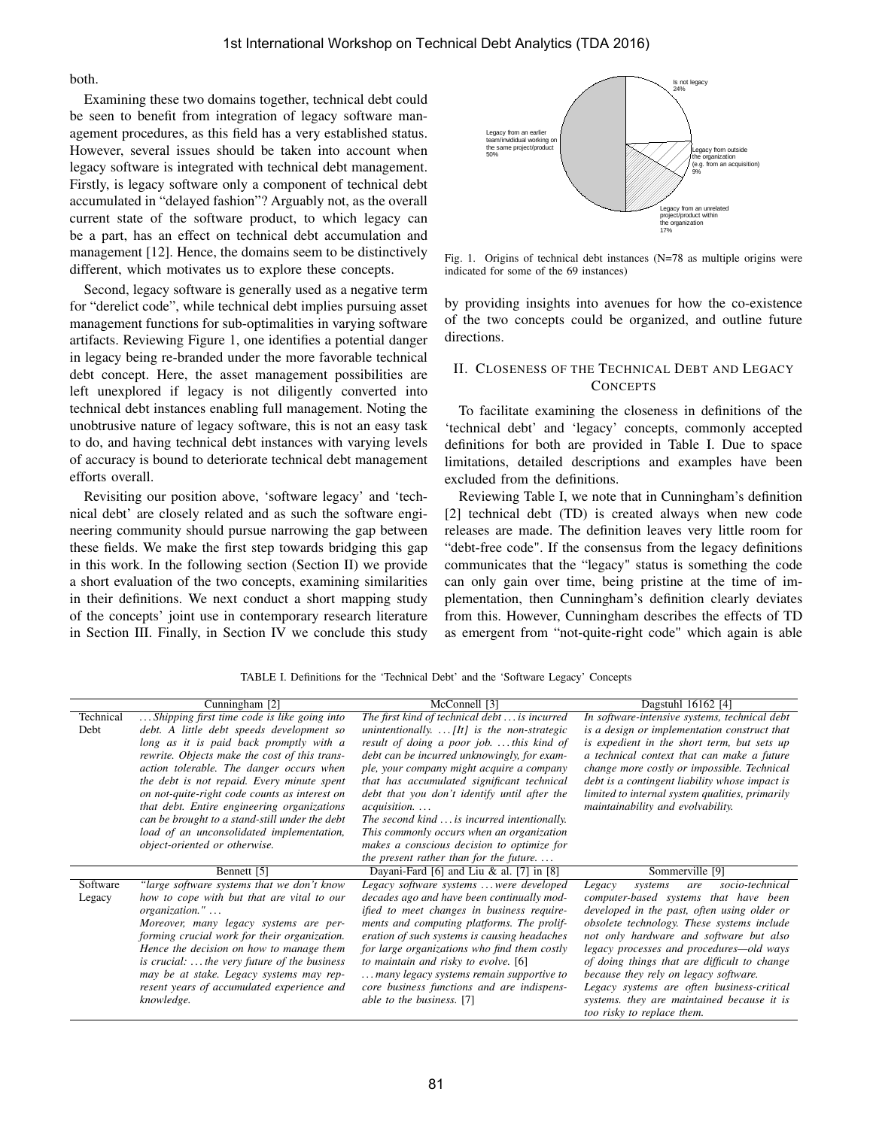both.

Examining these two domains together, technical debt could be seen to benefit from integration of legacy software management procedures, as this field has a very established status. However, several issues should be taken into account when legacy software is integrated with technical debt management. Firstly, is legacy software only a component of technical debt accumulated in "delayed fashion"? Arguably not, as the overall current state of the software product, to which legacy can be a part, has an effect on technical debt accumulation and management [12]. Hence, the domains seem to be distinctively different, which motivates us to explore these concepts.

Second, legacy software is generally used as a negative term for "derelict code", while technical debt implies pursuing asset management functions for sub-optimalities in varying software artifacts. Reviewing Figure 1, one identifies a potential danger in legacy being re-branded under the more favorable technical debt concept. Here, the asset management possibilities are left unexplored if legacy is not diligently converted into technical debt instances enabling full management. Noting the unobtrusive nature of legacy software, this is not an easy task to do, and having technical debt instances with varying levels of accuracy is bound to deteriorate technical debt management efforts overall.

Revisiting our position above, 'software legacy' and 'technical debt' are closely related and as such the software engineering community should pursue narrowing the gap between these fields. We make the first step towards bridging this gap in this work. In the following section (Section II) we provide a short evaluation of the two concepts, examining similarities in their definitions. We next conduct a short mapping study of the concepts' joint use in contemporary research literature in Section III. Finally, in Section IV we conclude this study



Fig. 1. Origins of technical debt instances (N=78 as multiple origins were indicated for some of the 69 instances)

by providing insights into avenues for how the co-existence of the two concepts could be organized, and outline future directions.

# II. CLOSENESS OF THE TECHNICAL DEBT AND LEGACY **CONCEPTS**

To facilitate examining the closeness in definitions of the 'technical debt' and 'legacy' concepts, commonly accepted definitions for both are provided in Table I. Due to space limitations, detailed descriptions and examples have been excluded from the definitions.

Reviewing Table I, we note that in Cunningham's definition [2] technical debt (TD) is created always when new code releases are made. The definition leaves very little room for "debt-free code". If the consensus from the legacy definitions communicates that the "legacy" status is something the code can only gain over time, being pristine at the time of implementation, then Cunningham's definition clearly deviates from this. However, Cunningham describes the effects of TD as emergent from "not-quite-right code" which again is able

TABLE I. Definitions for the 'Technical Debt' and the 'Software Legacy' Concepts

|           | Cunningham [2]                                       | McConnell [3]                                        | Dagstuhl 16162 [4]                              |
|-----------|------------------------------------------------------|------------------------------------------------------|-------------------------------------------------|
| Technical | Shipping first time code is like going into          | The first kind of technical debt $\dots$ is incurred | In software-intensive systems, technical debt   |
| Debt      | debt. A little debt speeds development so            | unintentionally. $\ldots$ [It] is the non-strategic  | is a design or implementation construct that    |
|           | long as it is paid back promptly with a              | result of doing a poor job. this kind of             | is expedient in the short term, but sets up     |
|           | rewrite. Objects make the cost of this trans-        | debt can be incurred unknowingly, for exam-          | a technical context that can make a future      |
|           | action tolerable. The danger occurs when             | ple, your company might acquire a company            | change more costly or impossible. Technical     |
|           | the debt is not repaid. Every minute spent           | that has accumulated significant technical           | debt is a contingent liability whose impact is  |
|           | on not-quite-right code counts as interest on        | debt that you don't identify until after the         | limited to internal system qualities, primarily |
|           | that debt. Entire engineering organizations          | <i>acquisition</i>                                   | maintainability and evolvability.               |
|           | can be brought to a stand-still under the debt       | The second kind  is incurred intentionally.          |                                                 |
|           | load of an unconsolidated implementation,            | This commonly occurs when an organization            |                                                 |
|           | object-oriented or otherwise.                        | makes a conscious decision to optimize for           |                                                 |
|           |                                                      | the present rather than for the future               |                                                 |
|           | Bennett [5]                                          | Dayani-Fard [6] and Liu & al. [7] in [8]             | Sommerville [9]                                 |
| Software  | "large software systems that we don't know           | Legacy software systems  were developed              | socio-technical<br>Legacy<br>systems<br>are     |
| Legacy    | how to cope with but that are vital to our           | decades ago and have been continually mod-           | computer-based systems that have been           |
|           | organization."                                       | ified to meet changes in business require-           | developed in the past, often using older or     |
|           | Moreover, many legacy systems are per-               | ments and computing platforms. The prolif-           | obsolete technology. These systems include      |
|           | forming crucial work for their organization.         | eration of such systems is causing headaches         | not only hardware and software but also         |
|           | Hence the decision on how to manage them             | for large organizations who find them costly         | legacy processes and procedures—old ways        |
|           | is crucial: $\ldots$ the very future of the business | to maintain and risky to evolve. [6]                 | of doing things that are difficult to change    |
|           | may be at stake. Legacy systems may rep-             | many legacy systems remain supportive to             | because they rely on legacy software.           |
|           | resent years of accumulated experience and           | core business functions and are indispens-           | Legacy systems are often business-critical      |
|           | knowledge.                                           | able to the business. [7]                            | systems, they are maintained because it is      |
|           |                                                      |                                                      | too risky to replace them.                      |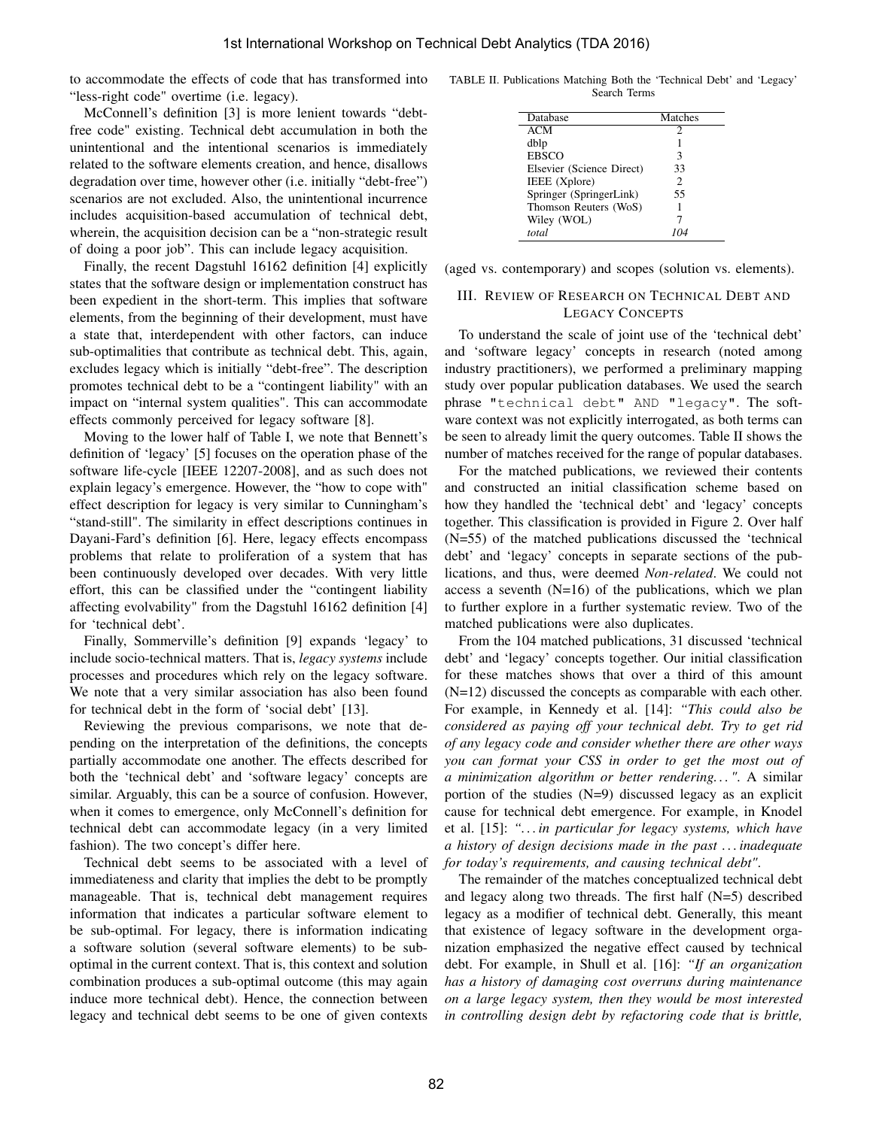to accommodate the effects of code that has transformed into "less-right code" overtime (i.e. legacy).

McConnell's definition [3] is more lenient towards "debtfree code" existing. Technical debt accumulation in both the unintentional and the intentional scenarios is immediately related to the software elements creation, and hence, disallows degradation over time, however other (i.e. initially "debt-free") scenarios are not excluded. Also, the unintentional incurrence includes acquisition-based accumulation of technical debt, wherein, the acquisition decision can be a "non-strategic result of doing a poor job". This can include legacy acquisition.

Finally, the recent Dagstuhl 16162 definition [4] explicitly states that the software design or implementation construct has been expedient in the short-term. This implies that software elements, from the beginning of their development, must have a state that, interdependent with other factors, can induce sub-optimalities that contribute as technical debt. This, again, excludes legacy which is initially "debt-free". The description promotes technical debt to be a "contingent liability" with an impact on "internal system qualities". This can accommodate effects commonly perceived for legacy software [8].

Moving to the lower half of Table I, we note that Bennett's definition of 'legacy' [5] focuses on the operation phase of the software life-cycle [IEEE 12207-2008], and as such does not explain legacy's emergence. However, the "how to cope with" effect description for legacy is very similar to Cunningham's "stand-still". The similarity in effect descriptions continues in Dayani-Fard's definition [6]. Here, legacy effects encompass problems that relate to proliferation of a system that has been continuously developed over decades. With very little effort, this can be classified under the "contingent liability affecting evolvability" from the Dagstuhl 16162 definition [4] for 'technical debt'.

Finally, Sommerville's definition [9] expands 'legacy' to include socio-technical matters. That is, *legacy systems* include processes and procedures which rely on the legacy software. We note that a very similar association has also been found for technical debt in the form of 'social debt' [13].

Reviewing the previous comparisons, we note that depending on the interpretation of the definitions, the concepts partially accommodate one another. The effects described for both the 'technical debt' and 'software legacy' concepts are similar. Arguably, this can be a source of confusion. However, when it comes to emergence, only McConnell's definition for technical debt can accommodate legacy (in a very limited fashion). The two concept's differ here.

Technical debt seems to be associated with a level of immediateness and clarity that implies the debt to be promptly manageable. That is, technical debt management requires information that indicates a particular software element to be sub-optimal. For legacy, there is information indicating a software solution (several software elements) to be suboptimal in the current context. That is, this context and solution combination produces a sub-optimal outcome (this may again induce more technical debt). Hence, the connection between legacy and technical debt seems to be one of given contexts

TABLE II. Publications Matching Both the 'Technical Debt' and 'Legacy' Search Terms

| Database                  | Matches        |
|---------------------------|----------------|
| <b>ACM</b>                | 2              |
| dblp                      |                |
| <b>EBSCO</b>              | 3              |
| Elsevier (Science Direct) | 33             |
| IEEE (Xplore)             | $\mathfrak{D}$ |
| Springer (SpringerLink)   | 55             |
| Thomson Reuters (WoS)     |                |
| Wiley (WOL)               |                |
| total                     |                |

(aged vs. contemporary) and scopes (solution vs. elements).

### III. REVIEW OF RESEARCH ON TECHNICAL DEBT AND LEGACY CONCEPTS

To understand the scale of joint use of the 'technical debt' and 'software legacy' concepts in research (noted among industry practitioners), we performed a preliminary mapping study over popular publication databases. We used the search phrase "technical debt" AND "legacy". The software context was not explicitly interrogated, as both terms can be seen to already limit the query outcomes. Table II shows the number of matches received for the range of popular databases.

For the matched publications, we reviewed their contents and constructed an initial classification scheme based on how they handled the 'technical debt' and 'legacy' concepts together. This classification is provided in Figure 2. Over half (N=55) of the matched publications discussed the 'technical debt' and 'legacy' concepts in separate sections of the publications, and thus, were deemed *Non-related*. We could not access a seventh  $(N=16)$  of the publications, which we plan to further explore in a further systematic review. Two of the matched publications were also duplicates.

From the 104 matched publications, 31 discussed 'technical debt' and 'legacy' concepts together. Our initial classification for these matches shows that over a third of this amount (N=12) discussed the concepts as comparable with each other. For example, in Kennedy et al. [14]: *"This could also be considered as paying off your technical debt. Try to get rid of any legacy code and consider whether there are other ways you can format your CSS in order to get the most out of a minimization algorithm or better rendering. . . "*. A similar portion of the studies (N=9) discussed legacy as an explicit cause for technical debt emergence. For example, in Knodel et al. [15]: *". . . in particular for legacy systems, which have a history of design decisions made in the past . . . inadequate for today's requirements, and causing technical debt"*.

The remainder of the matches conceptualized technical debt and legacy along two threads. The first half  $(N=5)$  described legacy as a modifier of technical debt. Generally, this meant that existence of legacy software in the development organization emphasized the negative effect caused by technical debt. For example, in Shull et al. [16]: *"If an organization has a history of damaging cost overruns during maintenance on a large legacy system, then they would be most interested in controlling design debt by refactoring code that is brittle,*